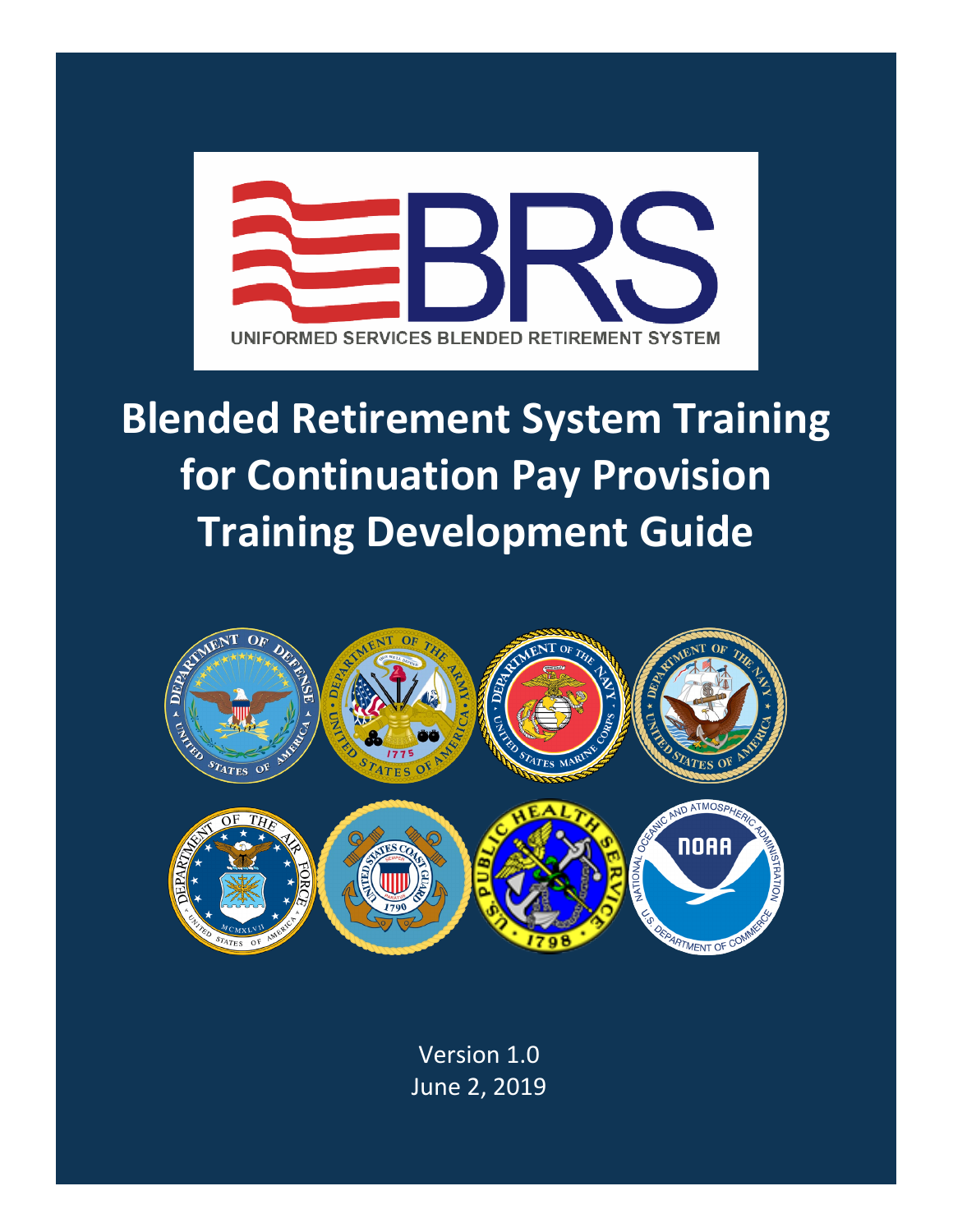

# **Blended Retirement System Training for Continuation Pay Provision Training Development Guide**



Version 1.0 June 2, 2019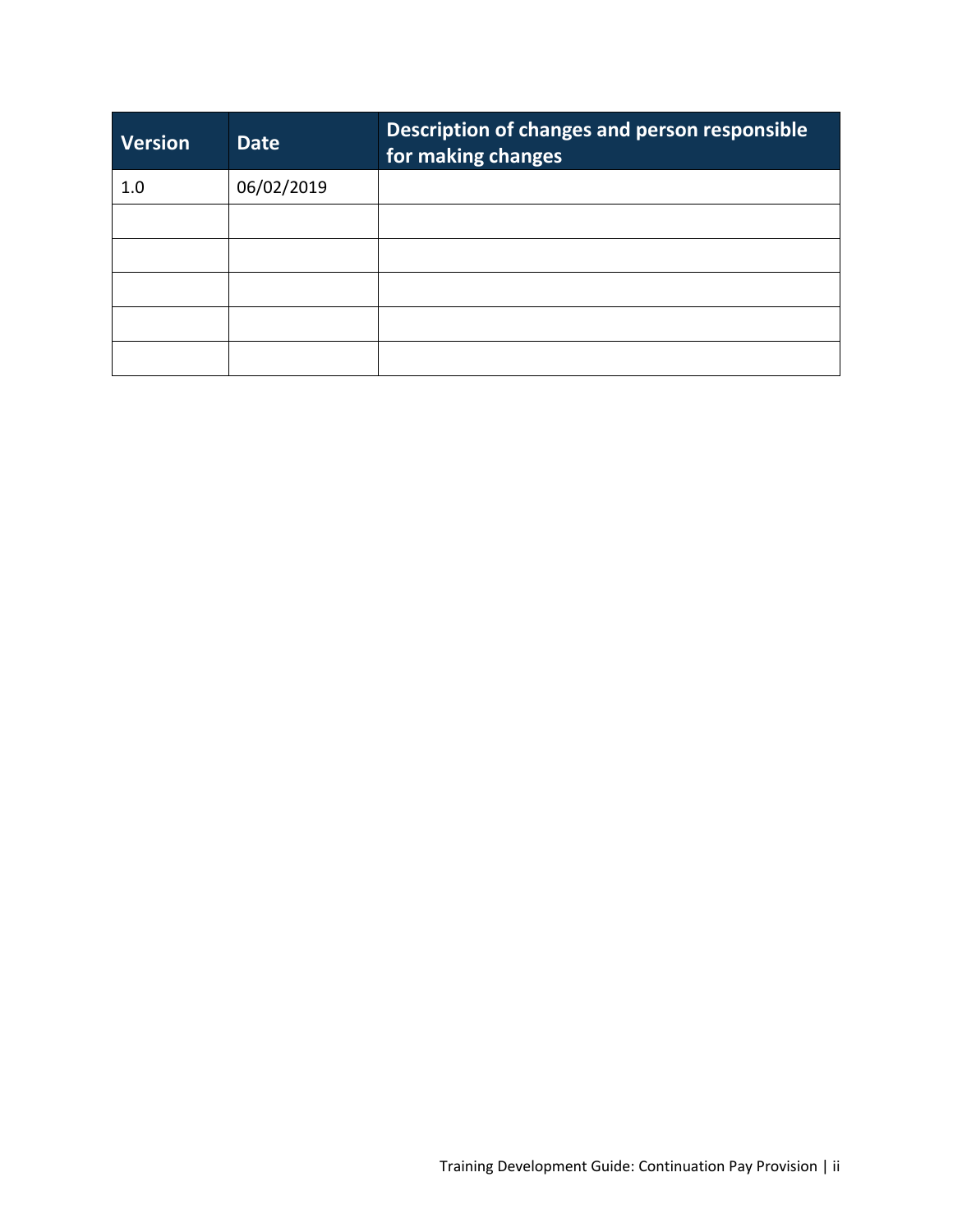| <b>Version</b> | <b>Date</b> | Description of changes and person responsible<br>for making changes |
|----------------|-------------|---------------------------------------------------------------------|
| 1.0            | 06/02/2019  |                                                                     |
|                |             |                                                                     |
|                |             |                                                                     |
|                |             |                                                                     |
|                |             |                                                                     |
|                |             |                                                                     |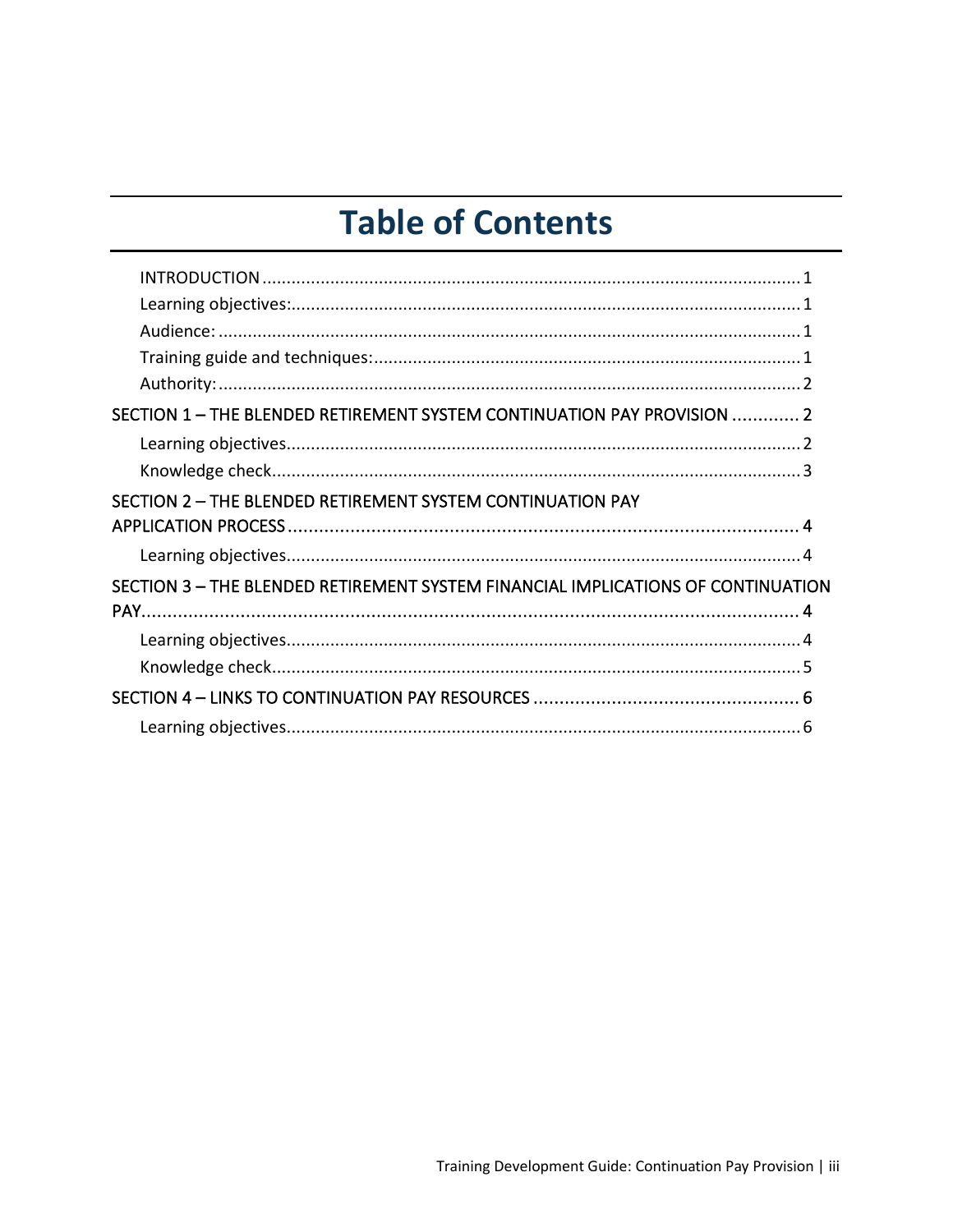# **Table of Contents**

| SECTION 1 - THE BLENDED RETIREMENT SYSTEM CONTINUATION PAY PROVISION  2          |  |
|----------------------------------------------------------------------------------|--|
|                                                                                  |  |
|                                                                                  |  |
| SECTION 2 - THE BLENDED RETIREMENT SYSTEM CONTINUATION PAY                       |  |
|                                                                                  |  |
|                                                                                  |  |
| SECTION 3 - THE BLENDED RETIREMENT SYSTEM FINANCIAL IMPLICATIONS OF CONTINUATION |  |
|                                                                                  |  |
|                                                                                  |  |
|                                                                                  |  |
|                                                                                  |  |
|                                                                                  |  |
|                                                                                  |  |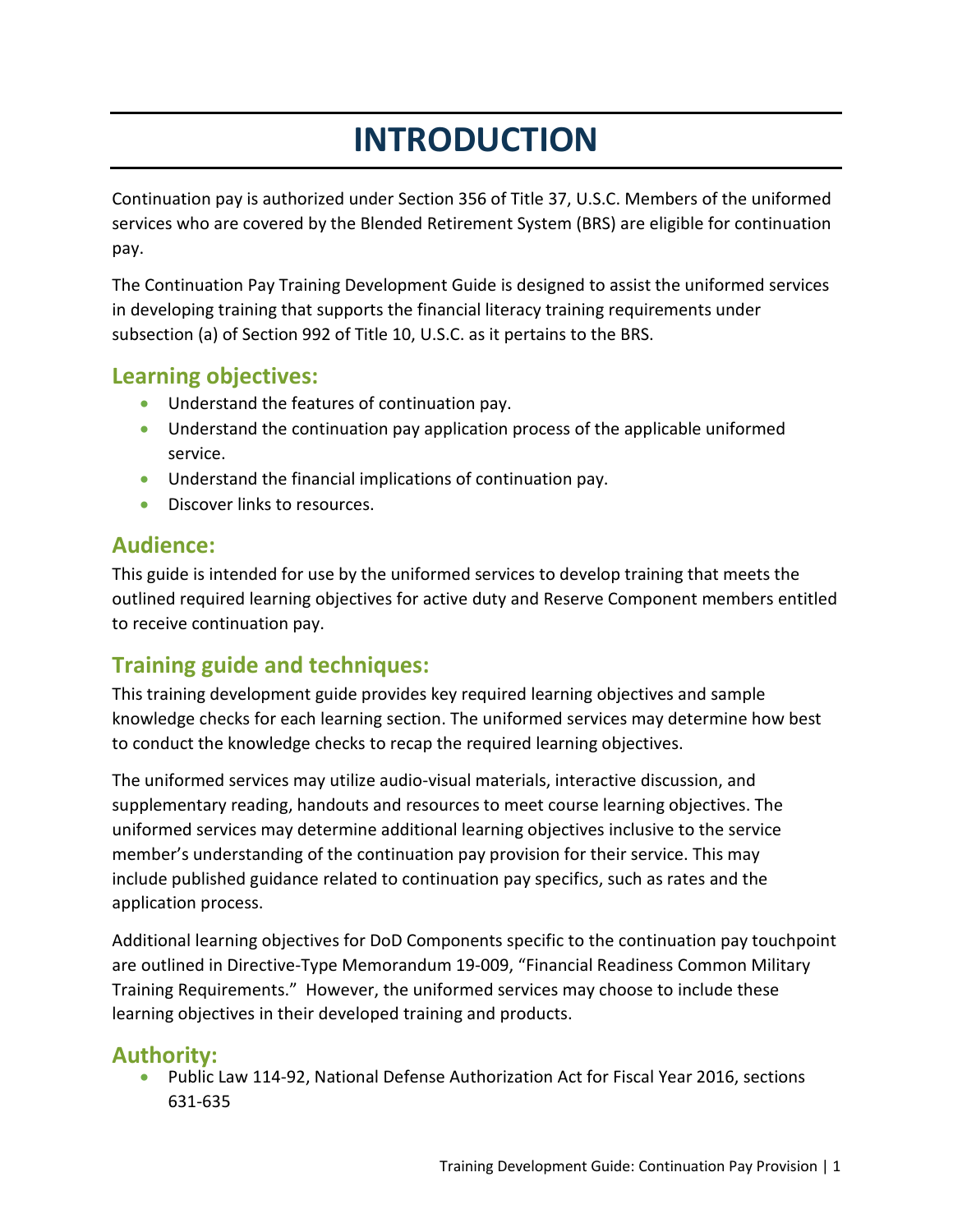# **INTRODUCTION**

Continuation pay is authorized under Section 356 of Title 37, U.S.C. Members of the uniformed services who are covered by the Blended Retirement System (BRS) are eligible for continuation pay.

The Continuation Pay Training Development Guide is designed to assist the uniformed services in developing training that supports the financial literacy training requirements under subsection (a) of Section 992 of Title 10, U.S.C. as it pertains to the BRS.

### **Learning objectives:**

- Understand the features of continuation pay.
- Understand the continuation pay application process of the applicable uniformed service.
- Understand the financial implications of continuation pay.
- Discover links to resources.

### **Audience:**

This guide is intended for use by the uniformed services to develop training that meets the outlined required learning objectives for active duty and Reserve Component members entitled to receive continuation pay.

# **Training guide and techniques:**

This training development guide provides key required learning objectives and sample knowledge checks for each learning section. The uniformed services may determine how best to conduct the knowledge checks to recap the required learning objectives.

The uniformed services may utilize audio-visual materials, interactive discussion, and supplementary reading, handouts and resources to meet course learning objectives. The uniformed services may determine additional learning objectives inclusive to the service member's understanding of the continuation pay provision for their service. This may include published guidance related to continuation pay specifics, such as rates and the application process.

Additional learning objectives for DoD Components specific to the continuation pay touchpoint are outlined in Directive-Type Memorandum 19-009, "Financial Readiness Common Military Training Requirements." However, the uniformed services may choose to include these learning objectives in their developed training and products.

### **Authority:**

• Public Law 114-92, National Defense Authorization Act for Fiscal Year 2016, sections 631-635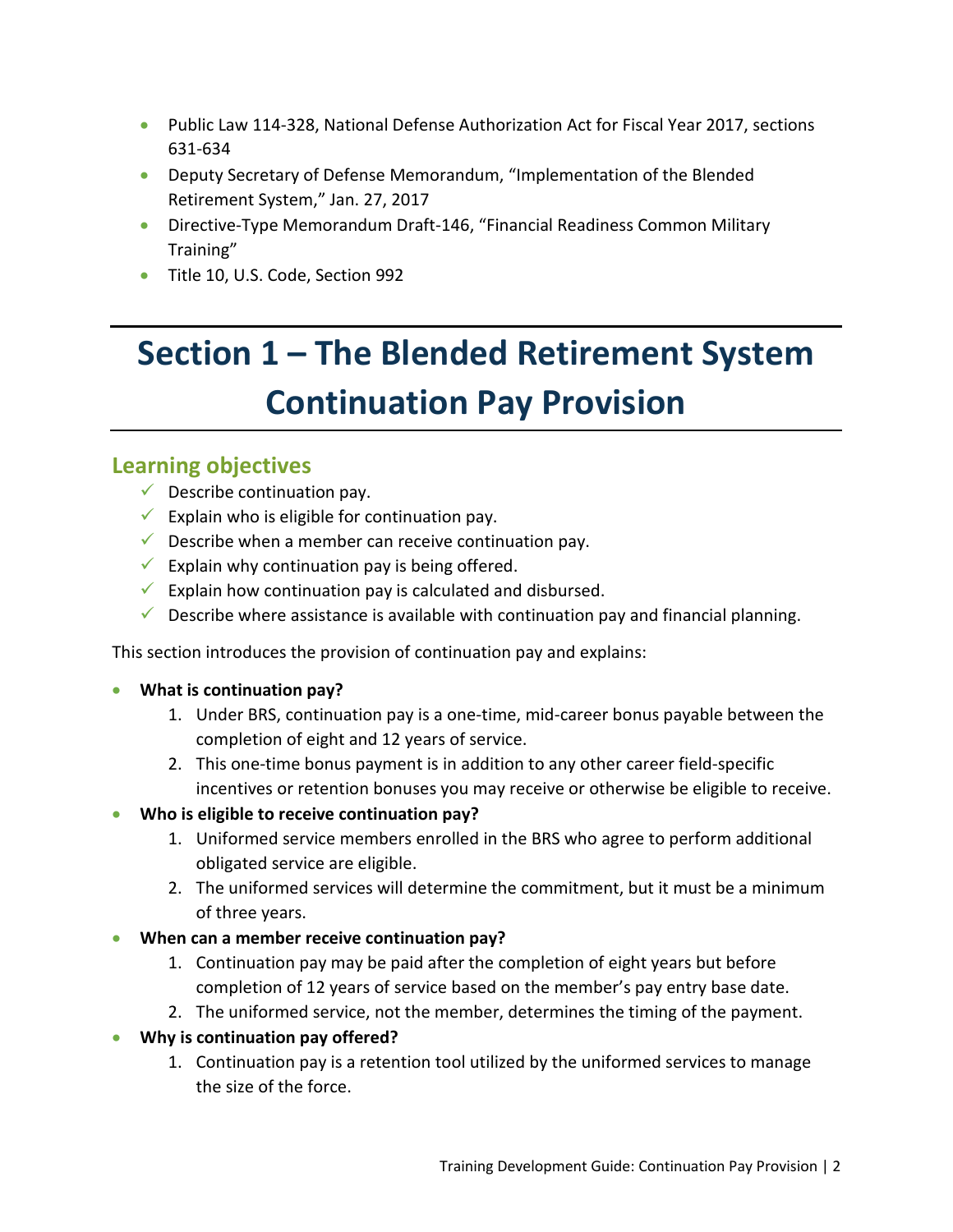- Public Law 114-328, National Defense Authorization Act for Fiscal Year 2017, sections 631-634
- Deputy Secretary of Defense Memorandum, "Implementation of the Blended Retirement System," Jan. 27, 2017
- Directive-Type Memorandum Draft-146, "Financial Readiness Common Military Training"
- Title 10, U.S. Code, Section 992

# **Section 1 – The Blended Retirement System Continuation Pay Provision**

#### **Learning objectives**

- $\checkmark$  Describe continuation pay.
- Explain who is eligible for continuation pay.
- $\checkmark$  Describe when a member can receive continuation pay.
- Explain why continuation pay is being offered.
- Explain how continuation pay is calculated and disbursed.
- $\checkmark$  Describe where assistance is available with continuation pay and financial planning.

This section introduces the provision of continuation pay and explains:

- **What is continuation pay?**
	- 1. Under BRS, continuation pay is a one-time, mid-career bonus payable between the completion of eight and 12 years of service.
	- 2. This one-time bonus payment is in addition to any other career field-specific incentives or retention bonuses you may receive or otherwise be eligible to receive.
- **Who is eligible to receive continuation pay?**
	- 1. Uniformed service members enrolled in the BRS who agree to perform additional obligated service are eligible.
	- 2. The uniformed services will determine the commitment, but it must be a minimum of three years.
- **When can a member receive continuation pay?**
	- 1. Continuation pay may be paid after the completion of eight years but before completion of 12 years of service based on the member's pay entry base date.
	- 2. The uniformed service, not the member, determines the timing of the payment.
- **Why is continuation pay offered?**
	- 1. Continuation pay is a retention tool utilized by the uniformed services to manage the size of the force.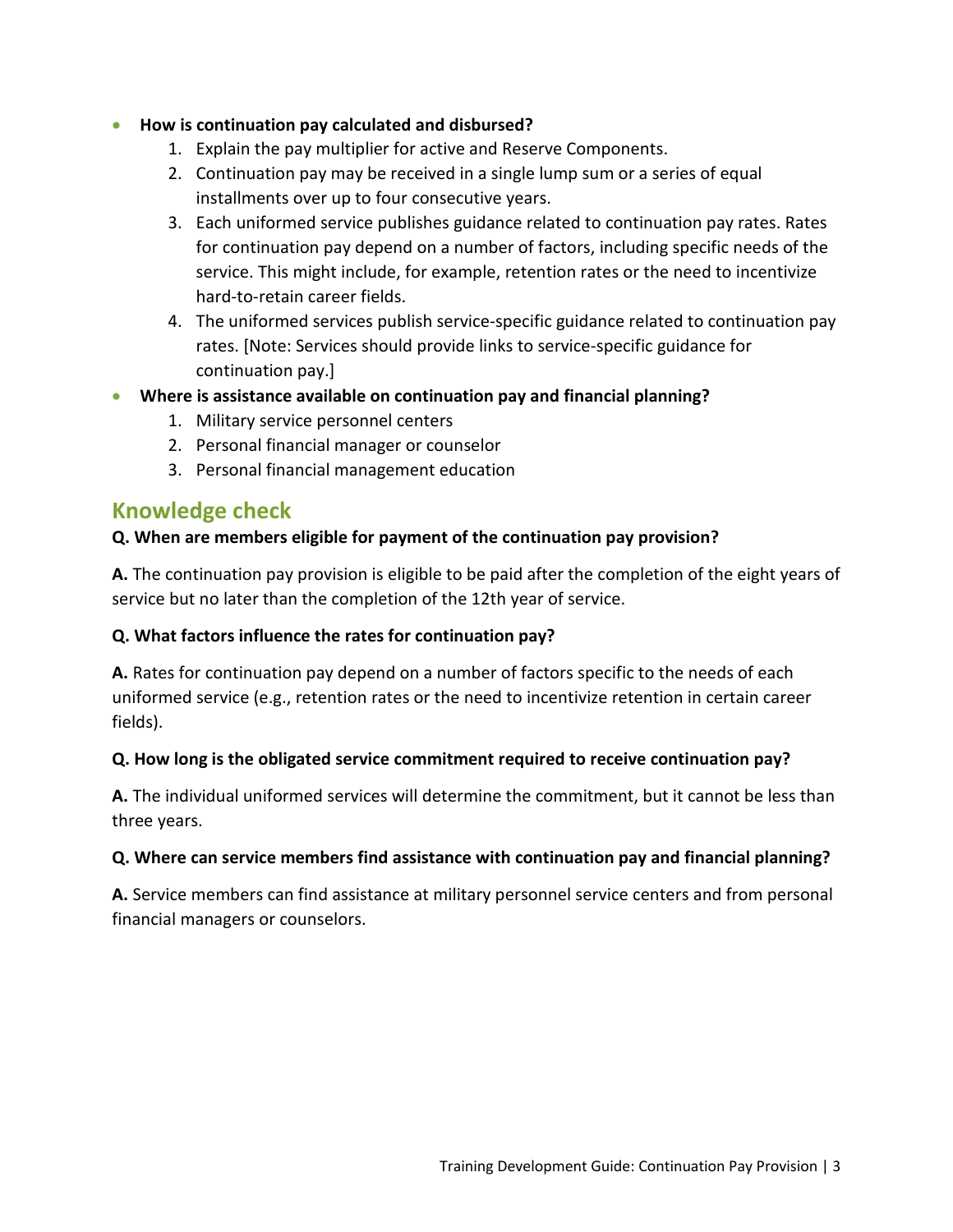#### • **How is continuation pay calculated and disbursed?**

- 1. Explain the pay multiplier for active and Reserve Components.
- 2. Continuation pay may be received in a single lump sum or a series of equal installments over up to four consecutive years.
- 3. Each uniformed service publishes guidance related to continuation pay rates. Rates for continuation pay depend on a number of factors, including specific needs of the service. This might include, for example, retention rates or the need to incentivize hard-to-retain career fields.
- 4. The uniformed services publish service-specific guidance related to continuation pay rates. [Note: Services should provide links to service-specific guidance for continuation pay.]
- **Where is assistance available on continuation pay and financial planning?**
	- 1. Military service personnel centers
	- 2. Personal financial manager or counselor
	- 3. Personal financial management education

## **Knowledge check**

#### **Q. When are members eligible for payment of the continuation pay provision?**

**A.** The continuation pay provision is eligible to be paid after the completion of the eight years of service but no later than the completion of the 12th year of service.

#### **Q. What factors influence the rates for continuation pay?**

**A.** Rates for continuation pay depend on a number of factors specific to the needs of each uniformed service (e.g., retention rates or the need to incentivize retention in certain career fields).

#### **Q. How long is the obligated service commitment required to receive continuation pay?**

**A.** The individual uniformed services will determine the commitment, but it cannot be less than three years.

#### **Q. Where can service members find assistance with continuation pay and financial planning?**

**A.** Service members can find assistance at military personnel service centers and from personal financial managers or counselors.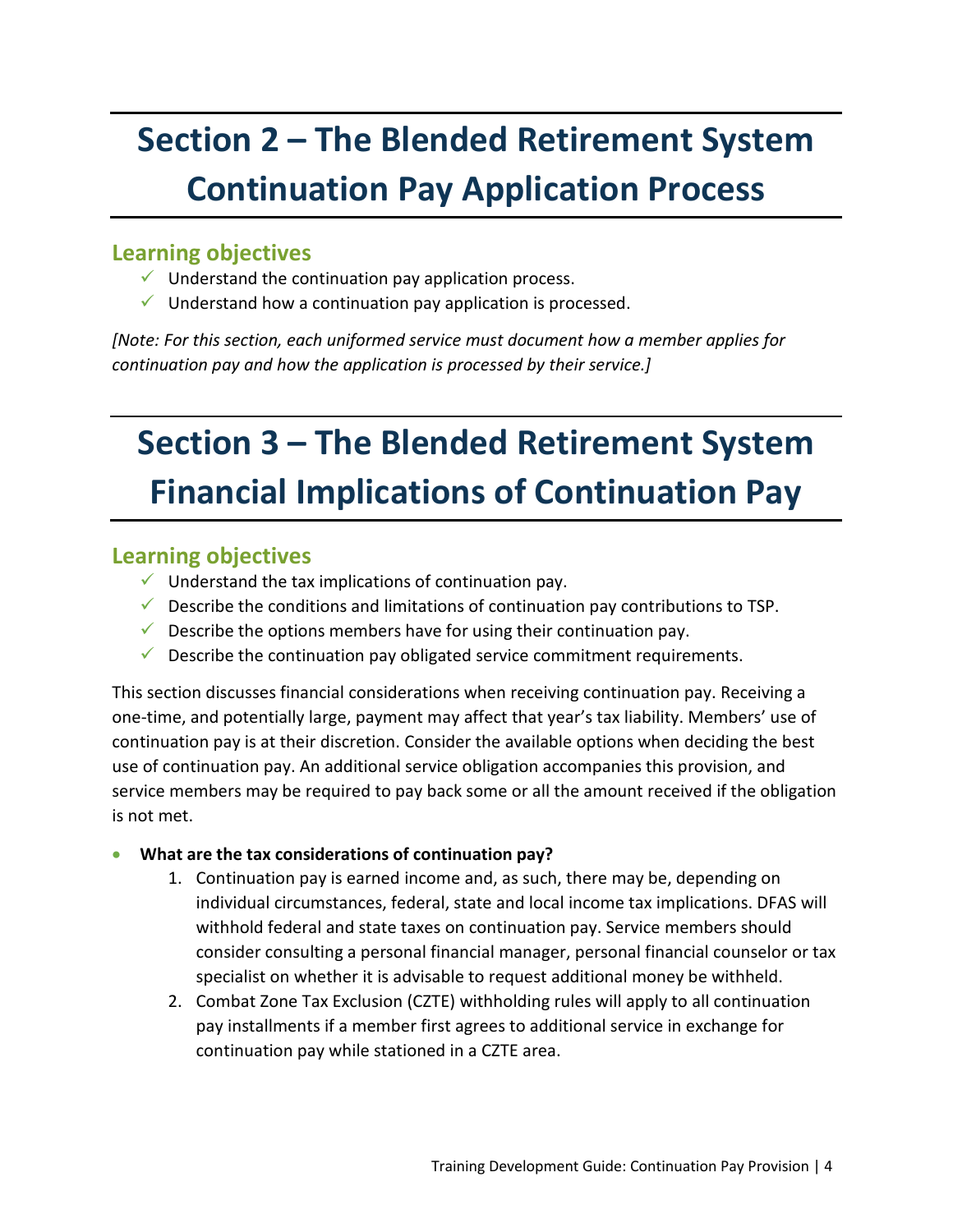# **Section 2 – The Blended Retirement System Continuation Pay Application Process**

### **Learning objectives**

- $\checkmark$  Understand the continuation pay application process.
- $\checkmark$  Understand how a continuation pay application is processed.

*[Note: For this section, each uniformed service must document how a member applies for continuation pay and how the application is processed by their service.]*

# **Section 3 – The Blended Retirement System Financial Implications of Continuation Pay**

## **Learning objectives**

- $\checkmark$  Understand the tax implications of continuation pay.
- $\checkmark$  Describe the conditions and limitations of continuation pay contributions to TSP.
- $\checkmark$  Describe the options members have for using their continuation pay.
- $\checkmark$  Describe the continuation pay obligated service commitment requirements.

This section discusses financial considerations when receiving continuation pay. Receiving a one-time, and potentially large, payment may affect that year's tax liability. Members' use of continuation pay is at their discretion. Consider the available options when deciding the best use of continuation pay. An additional service obligation accompanies this provision, and service members may be required to pay back some or all the amount received if the obligation is not met.

- **What are the tax considerations of continuation pay?**
	- 1. Continuation pay is earned income and, as such, there may be, depending on individual circumstances, federal, state and local income tax implications. DFAS will withhold federal and state taxes on continuation pay. Service members should consider consulting a personal financial manager, personal financial counselor or tax specialist on whether it is advisable to request additional money be withheld.
	- 2. Combat Zone Tax Exclusion (CZTE) withholding rules will apply to all continuation pay installments if a member first agrees to additional service in exchange for continuation pay while stationed in a CZTE area.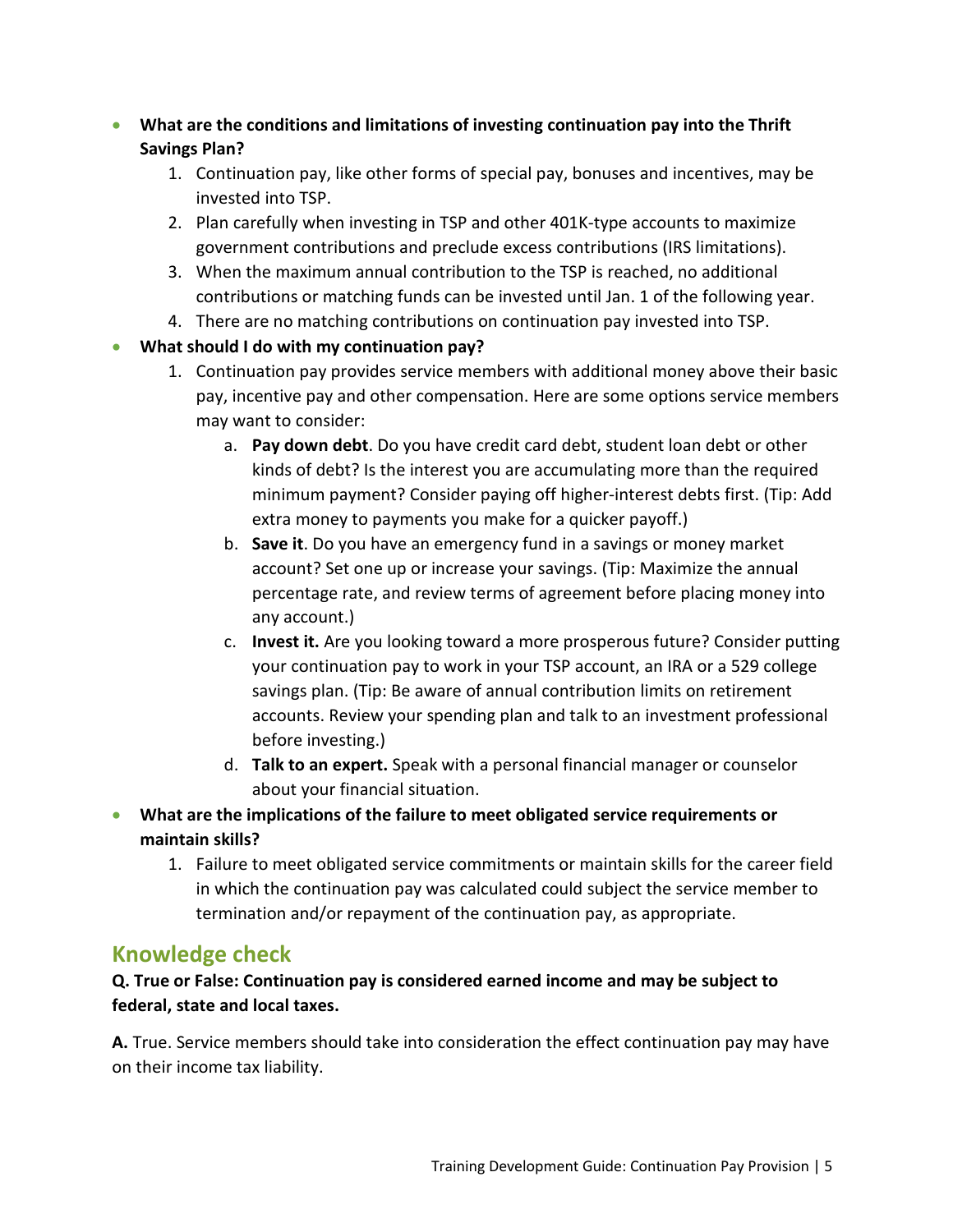- **What are the conditions and limitations of investing continuation pay into the Thrift Savings Plan?**
	- 1. Continuation pay, like other forms of special pay, bonuses and incentives, may be invested into TSP.
	- 2. Plan carefully when investing in TSP and other 401K-type accounts to maximize government contributions and preclude excess contributions (IRS limitations).
	- 3. When the maximum annual contribution to the TSP is reached, no additional contributions or matching funds can be invested until Jan. 1 of the following year.
	- 4. There are no matching contributions on continuation pay invested into TSP.

#### • **What should I do with my continuation pay?**

- 1. Continuation pay provides service members with additional money above their basic pay, incentive pay and other compensation. Here are some options service members may want to consider:
	- a. **Pay down debt**. Do you have credit card debt, student loan debt or other kinds of debt? Is the interest you are accumulating more than the required minimum payment? Consider paying off higher-interest debts first. (Tip: Add extra money to payments you make for a quicker payoff.)
	- b. **Save it**. Do you have an emergency fund in a savings or money market account? Set one up or increase your savings. (Tip: Maximize the annual percentage rate, and review terms of agreement before placing money into any account.)
	- c. **Invest it.** Are you looking toward a more prosperous future? Consider putting your continuation pay to work in your TSP account, an IRA or a 529 college savings plan. (Tip: Be aware of annual contribution limits on retirement accounts. Review your spending plan and talk to an investment professional before investing.)
	- d. **Talk to an expert.** Speak with a personal financial manager or counselor about your financial situation.
- **What are the implications of the failure to meet obligated service requirements or maintain skills?**
	- 1. Failure to meet obligated service commitments or maintain skills for the career field in which the continuation pay was calculated could subject the service member to termination and/or repayment of the continuation pay, as appropriate.

# **Knowledge check**

#### **Q. True or False: Continuation pay is considered earned income and may be subject to federal, state and local taxes.**

**A.** True. Service members should take into consideration the effect continuation pay may have on their income tax liability.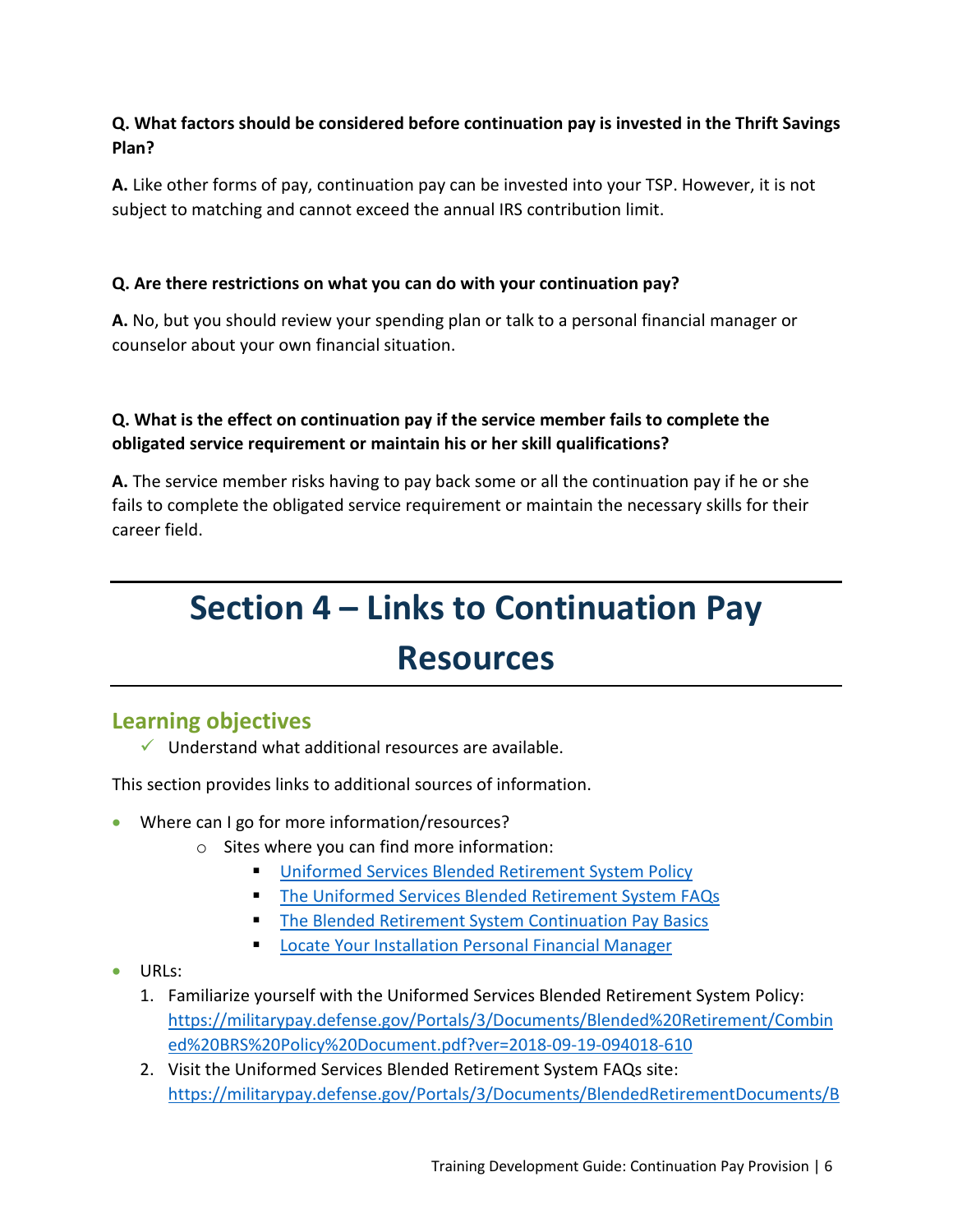#### **Q. What factors should be considered before continuation pay is invested in the Thrift Savings Plan?**

**A.** Like other forms of pay, continuation pay can be invested into your TSP. However, it is not subject to matching and cannot exceed the annual IRS contribution limit.

#### **Q. Are there restrictions on what you can do with your continuation pay?**

**A.** No, but you should review your spending plan or talk to a personal financial manager or counselor about your own financial situation.

#### **Q. What is the effect on continuation pay if the service member fails to complete the obligated service requirement or maintain his or her skill qualifications?**

**A.** The service member risks having to pay back some or all the continuation pay if he or she fails to complete the obligated service requirement or maintain the necessary skills for their career field.

# **Section 4 – Links to Continuation Pay Resources**

## **Learning objectives**

 $\checkmark$  Understand what additional resources are available.

This section provides links to additional sources of information.

- Where can I go for more information/resources?
	- o Sites where you can find more information:
		- [Uniformed Services Blended Retirement System Policy](https://militarypay.defense.gov/Portals/3/Documents/Blended%20Retirement/Combined%20BRS%20Policy%20Document.pdf?ver=2018-09-19-094018-610)
		- **[The Uniformed Services Blended Retirement System FAQs](https://militarypay.defense.gov/Portals/3/Documents/BlendedRetirementDocuments/BRS%20Frequently%20Asked%20Questions%2003282018.pdf?ver=2018-03-28-235150-797)**
		- **[The Blended Retirement System Continuation Pay Basics](https://militarypay.defense.gov/Portals/3/Documents/BlendedRetirementDocuments/Fact%20Sheet-Continuation%20Pay.pdf?ver=2017-12-08-134845-997)**
		- [Locate Your Installation Personal Financial Manager](https://installations.militaryonesource.mil/)
- URLs:
	- 1. Familiarize yourself with the Uniformed Services Blended Retirement System Policy: [https://militarypay.defense.gov/Portals/3/Documents/Blended%20Retirement/Combin](https://militarypay.defense.gov/Portals/3/Documents/Blended%20Retirement/Combined%20BRS%20Policy%20Document.pdf?ver=2018-09-19-094018-610) ed%20BRS%20Policy%20Document.pdf?ver=2018-09-19-094018-610
	- 2. Visit the Uniformed Services Blended Retirement System FAQs site: [https://militarypay.defense.gov/Portals/3/Documents/BlendedRetirementDocuments/B](https://militarypay.defense.gov/Portals/3/Documents/BlendedRetirementDocuments/BRS%20Frequently%20Asked%20Questions%2003282018.pdf?ver=2018-03-28-235150-797)